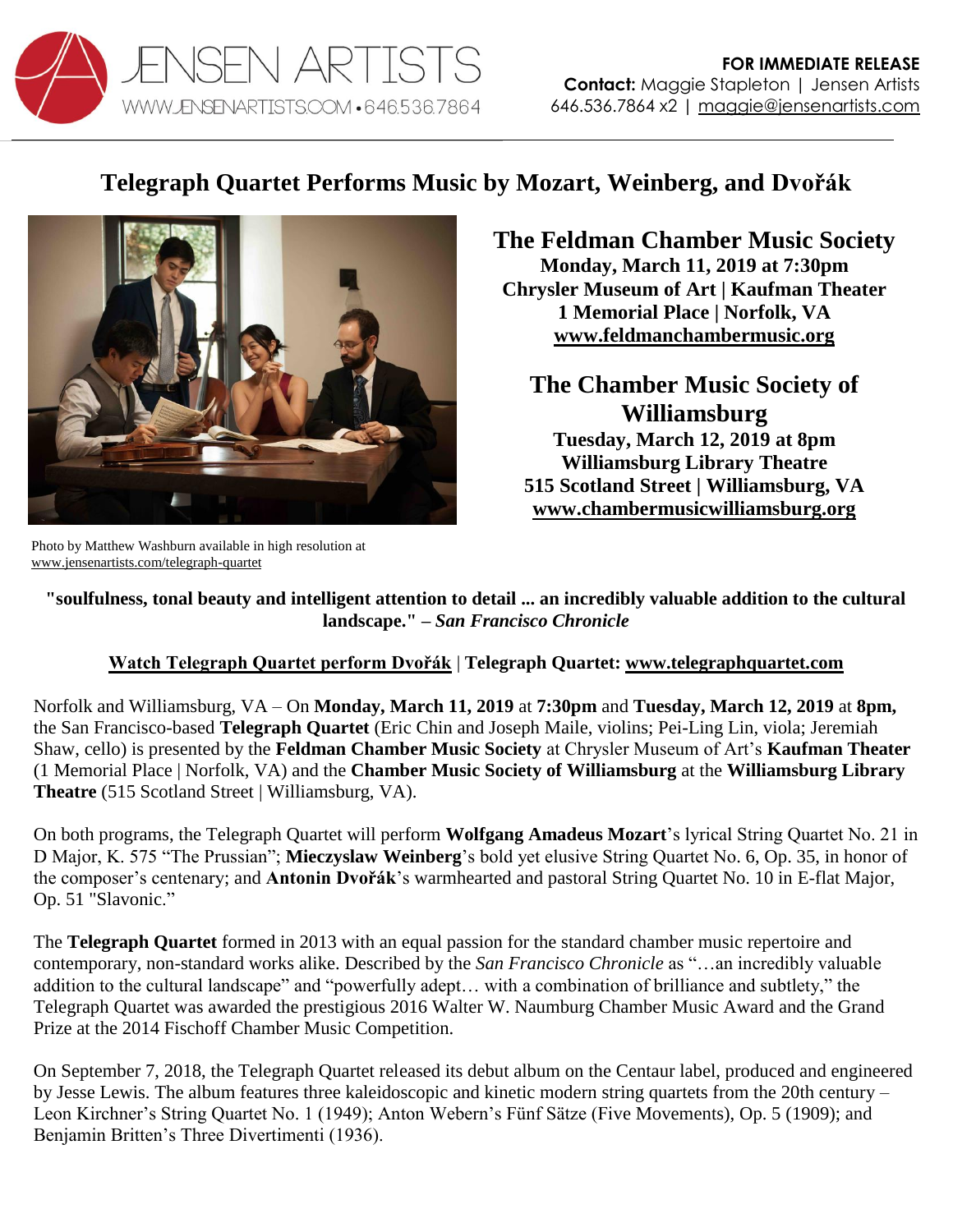

## **Telegraph Quartet Performs Music by Mozart, Weinberg, and Dvořák**



Photo by Matthew Washburn available in high resolution at [www.jensenartists.com/telegraph-quartet](http://www.jensenartists.com/telegraph-quartet)

**The Feldman Chamber Music Society Monday, March 11, 2019 at 7:30pm Chrysler Museum of Art | Kaufman Theater 1 Memorial Place | Norfolk, VA [www.feldmanchambermusic.org](http://www.feldmanchambermusic.org/)**

**The Chamber Music Society of Williamsburg Tuesday, March 12, 2019 at 8pm Williamsburg Library Theatre 515 Scotland Street | Williamsburg, VA**

**[www.chambermusicwilliamsburg.org](http://www.chambermusicwilliamsburg.org/)**

**"soulfulness, tonal beauty and intelligent attention to detail ... an incredibly valuable addition to the cultural landscape." –** *San Francisco Chronicle*

## **[Watch Telegraph Quartet perform Dvořák](https://youtu.be/dgI4xUcPUZ8)** | **Telegraph Quartet: [www.telegraphquartet.com](http://www.telegraphquartet.com/)**

Norfolk and Williamsburg, VA – On **Monday, March 11, 2019** at **7:30pm** and **Tuesday, March 12, 2019** at **8pm,**  the San Francisco-based **Telegraph Quartet** (Eric Chin and Joseph Maile, violins; Pei-Ling Lin, viola; Jeremiah Shaw, cello) is presented by the **Feldman Chamber Music Society** at Chrysler Museum of Art's **Kaufman Theater** (1 Memorial Place | Norfolk, VA) and the **Chamber Music Society of Williamsburg** at the **Williamsburg Library Theatre** (515 Scotland Street | Williamsburg, VA).

On both programs, the Telegraph Quartet will perform **Wolfgang Amadeus Mozart**'s lyrical String Quartet No. 21 in D Major, K. 575 "The Prussian"; **Mieczyslaw Weinberg**'s bold yet elusive String Quartet No. 6, Op. 35, in honor of the composer's centenary; and **Antonin Dvořák**'s warmhearted and pastoral String Quartet No. 10 in E-flat Major, Op. 51 "Slavonic."

The **Telegraph Quartet** formed in 2013 with an equal passion for the standard chamber music repertoire and contemporary, non-standard works alike. Described by the *San Francisco Chronicle* as "…an incredibly valuable addition to the cultural landscape" and "powerfully adept… with a combination of brilliance and subtlety," the Telegraph Quartet was awarded the prestigious 2016 Walter W. Naumburg Chamber Music Award and the Grand Prize at the 2014 Fischoff Chamber Music Competition.

On September 7, 2018, the Telegraph Quartet released its debut album on the Centaur label, produced and engineered by Jesse Lewis. The album features three kaleidoscopic and kinetic modern string quartets from the 20th century – Leon Kirchner's String Quartet No. 1 (1949); Anton Webern's Fünf Sätze (Five Movements), Op. 5 (1909); and Benjamin Britten's Three Divertimenti (1936).